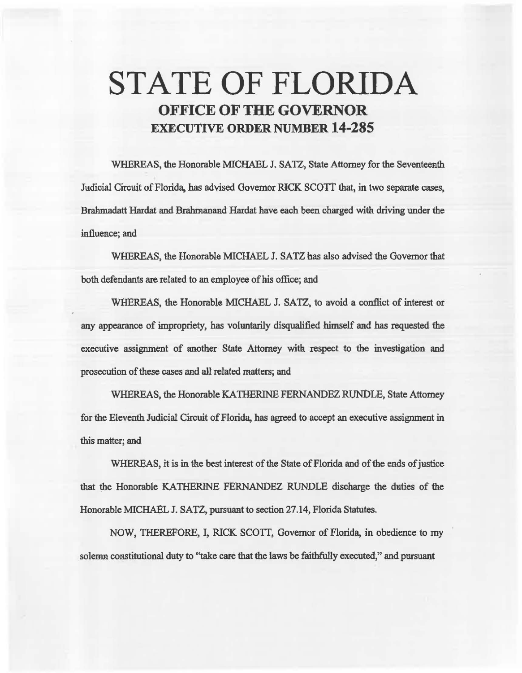# STATE OF FLORIDA OFFICE OF THE GOVERNOR EXECUTIVE ORDER NUMBER 14-285

WHEREAS, the Honorable MICHAEL J. SATZ, State Attorney for the Seventeenth Judicial Circuit of Florida, has advised Governor RICK SCOTI that, in two separate cases, Brahmadatt Hardat and Brahmanand Hardat have each been charged with driving under the influence; and

WHEREAS, the Honorable MICHAEL J. SATZ bas also advised the Governor that both defendants are related to an employee of his office; and

WHEREAS, the Honorable MICHAEL J. SATZ, to avoid a conflict of interest or any appearance of impropriety, has voluntarily disqualified himself and has requested the executive assignment of another State Attorney with respect to the investigation and prosecution of these cases and all related matters; and

WHEREAS, the Honorable KATHERINE FERNANDEZ RUNDLE, State Attorney for the Eleventh Judicial Circuit of Florida, has agreed to accept an executive assignment in this matter; and

WHEREAS, it is in the best interest of the State of Florida and of the ends of justice that the Honorable KATIIERINE FERNANDEZ RUNDLE discharge the duties of the Honorable MICHAEL J. SATZ, pursuant to section 27.14, Florida Statutes.

NOW, THEREFORE, I, RICK SCOTI, Governor of Florida, in obedience to my solemn constitutional duty to "take care that the laws be faithfully executed," and pursuant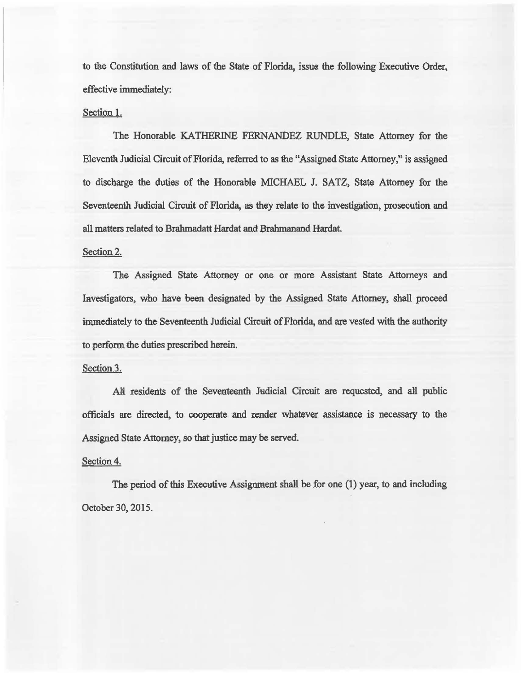to the Constitution. and Jaws of the State of Florida, issue the following Executive Order, effective immediately:

# Section 1.

The Honorable KATHERINE FERNANDEZ RUNDLE, State Attorney for the Eleventh. Judicial Circuit of Florida, referred to as the "Assigned State Attorney,'' is assigaed to discharge the duties of the Honorable MICHAEL J. SATZ, State A1tomey for the Seventeenth Judicial Circuit of Florida, as they relate to the investigation, prosecution and all matters related to Bralunadatt Hardat and Brahmanand Hardat.

### Section 2.

The Assigned State Attorney or one or more Assistant State Attorneys and Investigators, who have been. designated by the Assigned State Attomey, shall proceed immediately to the Seventeenth Judicial Circuit of Florida, and are vested with the authority to perform the duties prescribed herein.

#### Section 3.

All residents of the Seventeenth Judicial Circuit are requested, and all public officials are directed, to cooperate and render whatever assistance is necessary to the Assigned State Attorney, so that justice may be served.

# Section 4.

The period of this Executive Assignment shall be for one (1) year, to and including October 30, 2015.